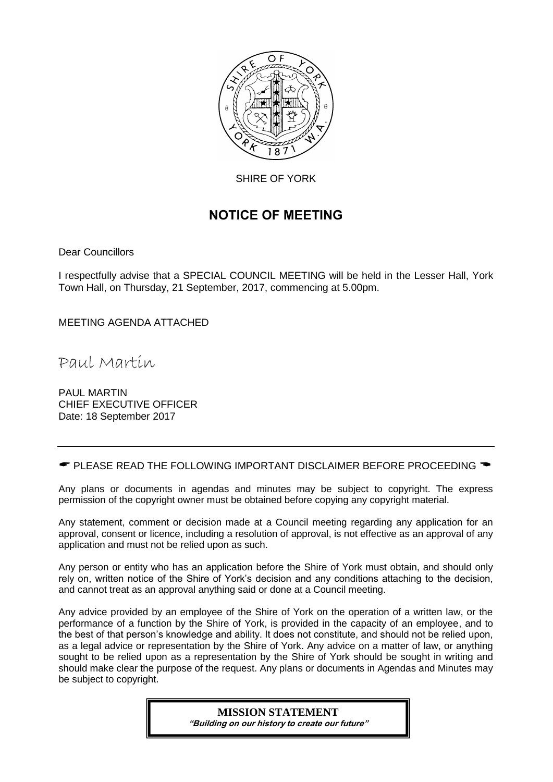

SHIRE OF YORK

## NOTICE OF MEETING

Dear Councillors

I respectfully advise that a SPECIAL COUNCIL MEETING will be held in the Lesser Hall, York Town Hall, on Thursday, 21 September, 2017, commencing at 5.00pm.

MEETING AGENDA ATTACHED

Paul Martin

PAUL MARTIN CHIEF EXECUTIVE OFFICER Date: 18 September 2017

 $\bullet$  PLEASE READ THE FOLLOWING IMPORTANT DISCLAIMER BEFORE PROCEEDING  $\bullet$ 

Any plans or documents in agendas and minutes may be subject to copyright. The express permission of the copyright owner must be obtained before copying any copyright material.

Any statement, comment or decision made at a Council meeting regarding any application for an approval, consent or licence, including a resolution of approval, is not effective as an approval of any application and must not be relied upon as such.

Any person or entity who has an application before the Shire of York must obtain, and should only rely on, written notice of the Shire of York's decision and any conditions attaching to the decision, and cannot treat as an approval anything said or done at a Council meeting.

Any advice provided by an employee of the Shire of York on the operation of a written law, or the performance of a function by the Shire of York, is provided in the capacity of an employee, and to the best of that person's knowledge and ability. It does not constitute, and should not be relied upon, as a legal advice or representation by the Shire of York. Any advice on a matter of law, or anything sought to be relied upon as a representation by the Shire of York should be sought in writing and should make clear the purpose of the request. Any plans or documents in Agendas and Minutes may be subject to copyright.

### **MISSION STATEMENT**

"Building on our history to create our future"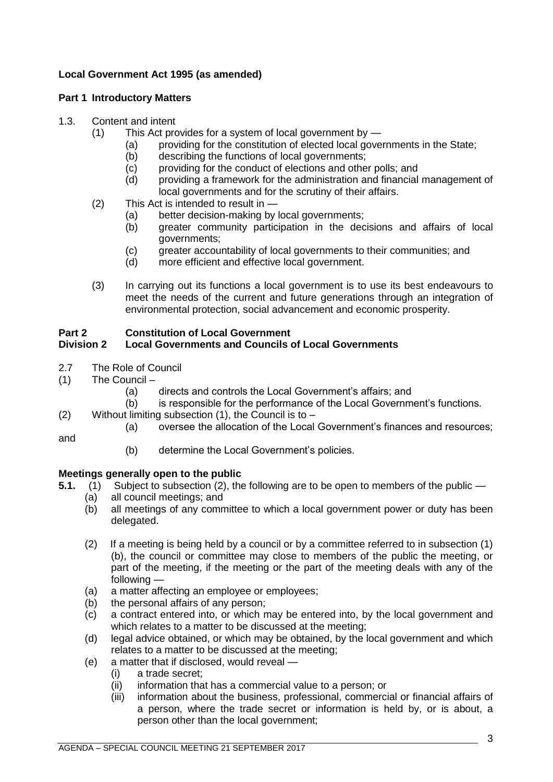#### **Local Government Act 1995 (as amended)**

#### **Part 1 Introductory Matters**

#### 1.3. Content and intent

- (1) This Act provides for a system of local government by
	- (a) providing for the constitution of elected local governments in the State;
	- (b) describing the functions of local governments;
	- (c) providing for the conduct of elections and other polls; and
	- (d) providing a framework for the administration and financial management of local governments and for the scrutiny of their affairs.
- (2) This Act is intended to result in
	- (a) better decision-making by local governments;
	- (b) greater community participation in the decisions and affairs of local governments;
	- (c) greater accountability of local governments to their communities; and
	- (d) more efficient and effective local government.
- (3) In carrying out its functions a local government is to use its best endeavours to meet the needs of the current and future generations through an integration of environmental protection, social advancement and economic prosperity.

#### **Part 2 Constitution of Local Government**

#### **Division 2 Local Governments and Councils of Local Governments**

- 2.7 The Role of Council
- (1) The Council
	- (a) directs and controls the Local Government's affairs; and
	- (b) is responsible for the performance of the Local Government's functions.
- (2) Without limiting subsection  $(1)$ , the Council is to  $-$ 
	- (a) oversee the allocation of the Local Government's finances and resources;

and

(b) determine the Local Government's policies.

#### **Meetings generally open to the public**

- **5.1.** (1) Subject to subsection (2), the following are to be open to members of the public
	- (a) all council meetings; and
	- (b) all meetings of any committee to which a local government power or duty has been delegated.
	- (2) If a meeting is being held by a council or by a committee referred to in subsection (1) (b), the council or committee may close to members of the public the meeting, or part of the meeting, if the meeting or the part of the meeting deals with any of the following —
	- (a) a matter affecting an employee or employees;
	- (b) the personal affairs of any person;
	- (c) a contract entered into, or which may be entered into, by the local government and which relates to a matter to be discussed at the meeting;
	- (d) legal advice obtained, or which may be obtained, by the local government and which relates to a matter to be discussed at the meeting;
	- (e) a matter that if disclosed, would reveal
		- (i) a trade secret;
		- (ii) information that has a commercial value to a person; or
		- (iii) information about the business, professional, commercial or financial affairs of a person, where the trade secret or information is held by, or is about, a person other than the local government;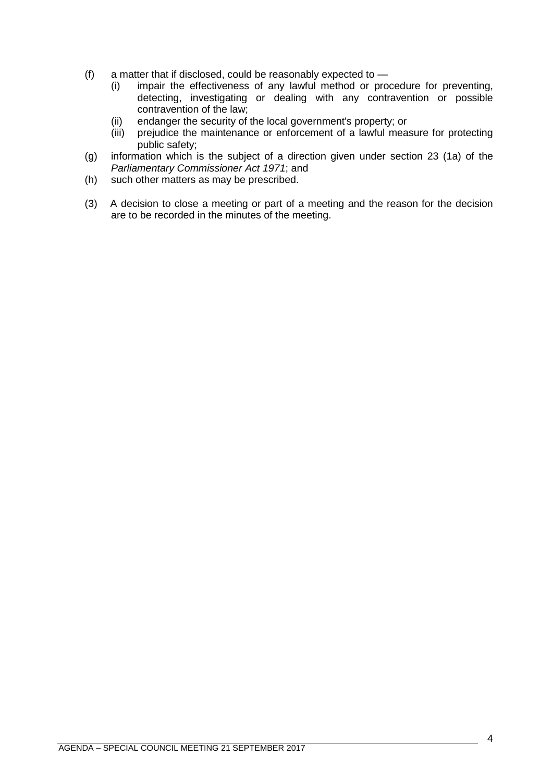- (f) a matter that if disclosed, could be reasonably expected to
	- (i) impair the effectiveness of any lawful method or procedure for preventing, detecting, investigating or dealing with any contravention or possible contravention of the law;
	- (ii) endanger the security of the local government's property; or
	- (iii) prejudice the maintenance or enforcement of a lawful measure for protecting public safety;
- (g) information which is the subject of a direction given under section 23 (1a) of the *Parliamentary Commissioner Act 1971*; and
- (h) such other matters as may be prescribed.
- (3) A decision to close a meeting or part of a meeting and the reason for the decision are to be recorded in the minutes of the meeting.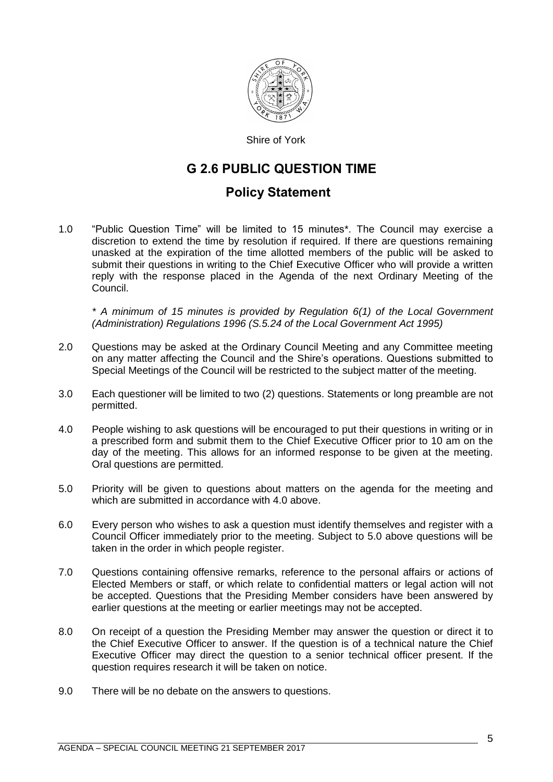

Shire of York

## G 2.6 PUBLIC QUESTION TIME

### Policy Statement

1.0 "Public Question Time" will be limited to 15 minutes\*. The Council may exercise a discretion to extend the time by resolution if required. If there are questions remaining unasked at the expiration of the time allotted members of the public will be asked to submit their questions in writing to the Chief Executive Officer who will provide a written reply with the response placed in the Agenda of the next Ordinary Meeting of the Council.

*\* A minimum of 15 minutes is provided by Regulation 6(1) of the Local Government (Administration) Regulations 1996 (S.5.24 of the Local Government Act 1995)*

- 2.0 Questions may be asked at the Ordinary Council Meeting and any Committee meeting on any matter affecting the Council and the Shire's operations. Questions submitted to Special Meetings of the Council will be restricted to the subject matter of the meeting.
- 3.0 Each questioner will be limited to two (2) questions. Statements or long preamble are not permitted.
- 4.0 People wishing to ask questions will be encouraged to put their questions in writing or in a prescribed form and submit them to the Chief Executive Officer prior to 10 am on the day of the meeting. This allows for an informed response to be given at the meeting. Oral questions are permitted.
- 5.0 Priority will be given to questions about matters on the agenda for the meeting and which are submitted in accordance with 4.0 above.
- 6.0 Every person who wishes to ask a question must identify themselves and register with a Council Officer immediately prior to the meeting. Subject to 5.0 above questions will be taken in the order in which people register.
- 7.0 Questions containing offensive remarks, reference to the personal affairs or actions of Elected Members or staff, or which relate to confidential matters or legal action will not be accepted. Questions that the Presiding Member considers have been answered by earlier questions at the meeting or earlier meetings may not be accepted.
- 8.0 On receipt of a question the Presiding Member may answer the question or direct it to the Chief Executive Officer to answer. If the question is of a technical nature the Chief Executive Officer may direct the question to a senior technical officer present. If the question requires research it will be taken on notice.
- 9.0 There will be no debate on the answers to questions.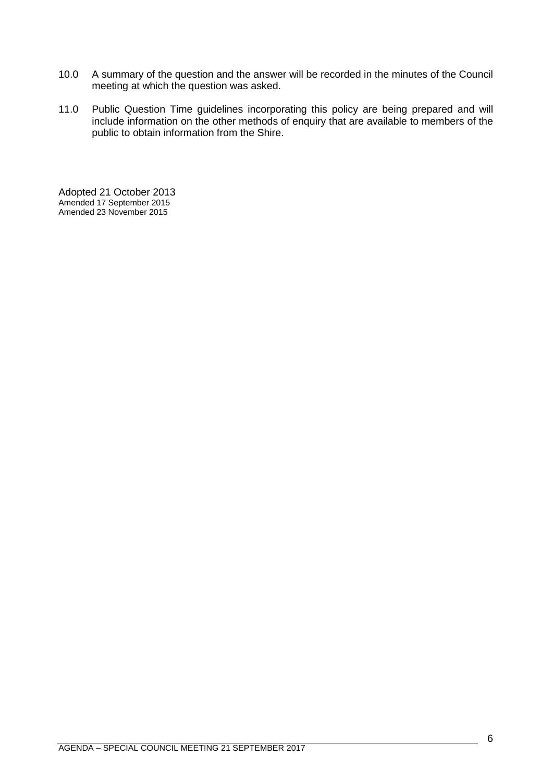- 10.0 A summary of the question and the answer will be recorded in the minutes of the Council meeting at which the question was asked.
- 11.0 Public Question Time guidelines incorporating this policy are being prepared and will include information on the other methods of enquiry that are available to members of the public to obtain information from the Shire.

Adopted 21 October 2013 Amended 17 September 2015 Amended 23 November 2015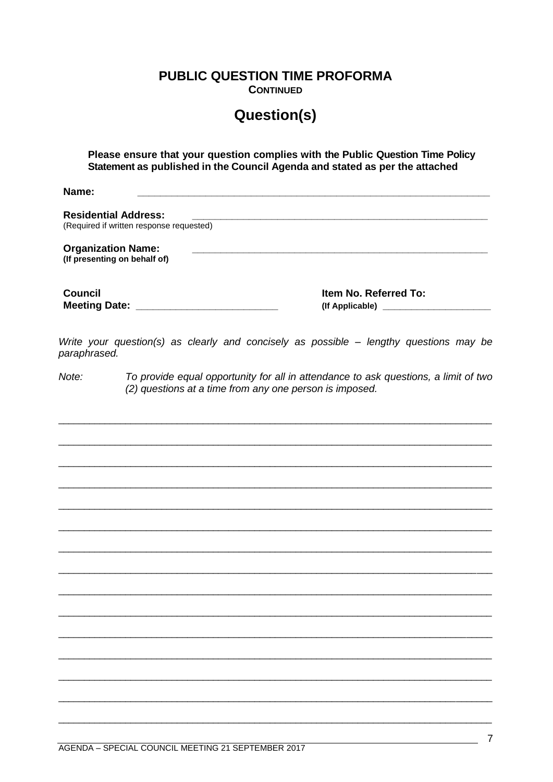**PUBLIC QUESTION TIME PROFORMA** 

**CONTINUED** 

## **Question(s)**

Please ensure that your question complies with the Public Question Time Policy Statement as published in the Council Agenda and stated as per the attached

Name<sup>.</sup>

**Residential Address:** (Required if written response requested) **Organization Name:** (If presenting on behalf of) **Council** Item No. Referred To: 

Write your question(s) as clearly and concisely as possible - lengthy questions may be paraphrased.

 $Note:$ To provide equal opportunity for all in attendance to ask questions, a limit of two (2) questions at a time from any one person is imposed.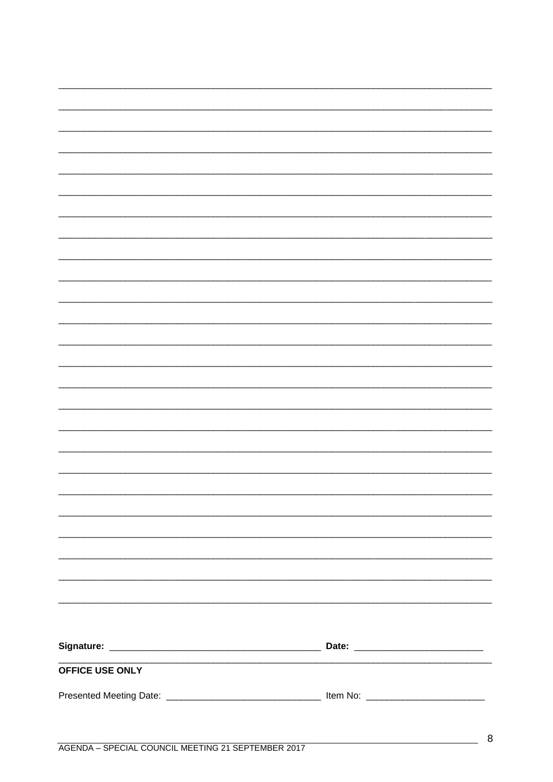| OFFICE USE ONLY |  |
|-----------------|--|
|                 |  |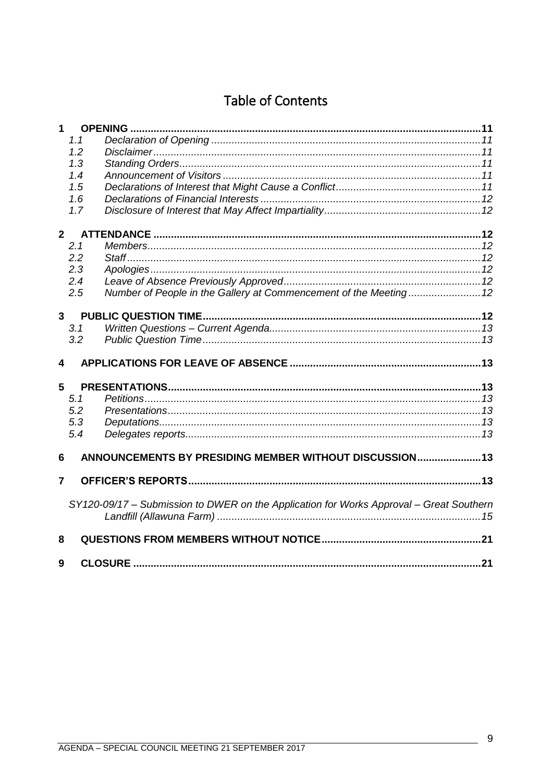# Table of Contents

| 1                       |     |                                                                                         |  |
|-------------------------|-----|-----------------------------------------------------------------------------------------|--|
|                         | 1.1 |                                                                                         |  |
|                         | 1.2 |                                                                                         |  |
|                         | 1.3 |                                                                                         |  |
|                         | 1.4 |                                                                                         |  |
|                         | 1.5 |                                                                                         |  |
|                         | 1.6 |                                                                                         |  |
|                         | 1.7 |                                                                                         |  |
| 2 <sup>1</sup>          |     |                                                                                         |  |
|                         | 2.1 |                                                                                         |  |
|                         | 2.2 |                                                                                         |  |
|                         | 2.3 |                                                                                         |  |
|                         | 2.4 |                                                                                         |  |
|                         | 2.5 | Number of People in the Gallery at Commencement of the Meeting 12                       |  |
| $\mathbf{3}$            |     |                                                                                         |  |
|                         | 3.1 |                                                                                         |  |
|                         | 3.2 |                                                                                         |  |
|                         |     |                                                                                         |  |
| $\overline{\mathbf{4}}$ |     |                                                                                         |  |
| 5                       |     |                                                                                         |  |
|                         | 5.1 |                                                                                         |  |
|                         | 5.2 |                                                                                         |  |
|                         | 5.3 |                                                                                         |  |
|                         | 5.4 |                                                                                         |  |
| 6                       |     | ANNOUNCEMENTS BY PRESIDING MEMBER WITHOUT DISCUSSION 13                                 |  |
| 7                       |     |                                                                                         |  |
|                         |     |                                                                                         |  |
|                         |     | SY120-09/17 – Submission to DWER on the Application for Works Approval – Great Southern |  |
|                         |     |                                                                                         |  |
| 8                       |     |                                                                                         |  |
| 9                       |     |                                                                                         |  |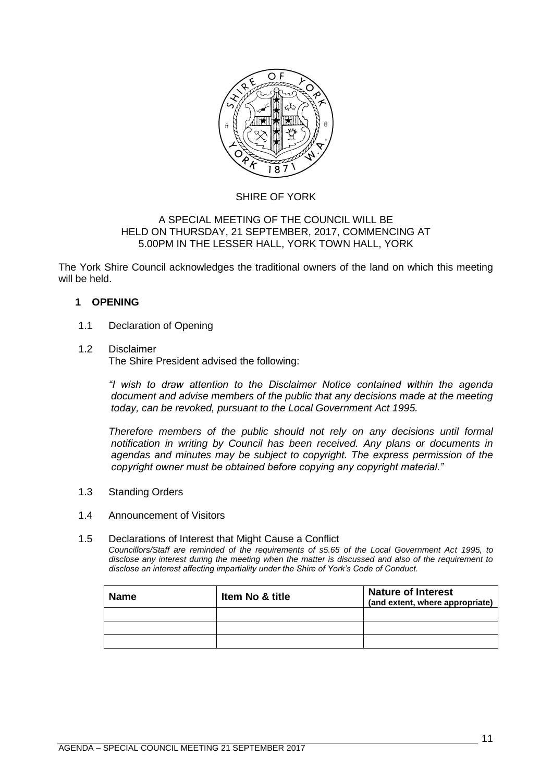

#### SHIRE OF YORK

#### A SPECIAL MEETING OF THE COUNCIL WILL BE HELD ON THURSDAY, 21 SEPTEMBER, 2017, COMMENCING AT 5.00PM IN THE LESSER HALL, YORK TOWN HALL, YORK

The York Shire Council acknowledges the traditional owners of the land on which this meeting will be held.

#### <span id="page-10-0"></span>**1 OPENING**

#### <span id="page-10-1"></span>1.1 Declaration of Opening

#### <span id="page-10-2"></span>1.2 Disclaimer

The Shire President advised the following:

*"I wish to draw attention to the Disclaimer Notice contained within the agenda document and advise members of the public that any decisions made at the meeting today, can be revoked, pursuant to the Local Government Act 1995.* 

*Therefore members of the public should not rely on any decisions until formal notification in writing by Council has been received. Any plans or documents in agendas and minutes may be subject to copyright. The express permission of the copyright owner must be obtained before copying any copyright material."*

<span id="page-10-3"></span>1.3 Standing Orders

#### <span id="page-10-4"></span>1.4 Announcement of Visitors

#### <span id="page-10-5"></span>1.5 Declarations of Interest that Might Cause a Conflict

*Councillors/Staff are reminded of the requirements of s5.65 of the Local Government Act 1995, to disclose any interest during the meeting when the matter is discussed and also of the requirement to disclose an interest affecting impartiality under the Shire of York's Code of Conduct.*

| <b>Name</b> | Item No & title | <b>Nature of Interest</b><br>(and extent, where appropriate) |
|-------------|-----------------|--------------------------------------------------------------|
|             |                 |                                                              |
|             |                 |                                                              |
|             |                 |                                                              |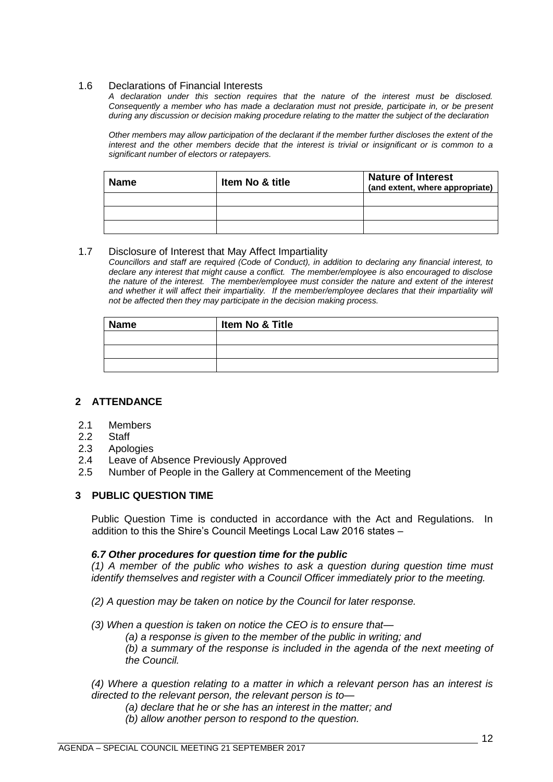#### <span id="page-11-0"></span>1.6 Declarations of Financial Interests

*A declaration under this section requires that the nature of the interest must be disclosed. Consequently a member who has made a declaration must not preside, participate in, or be present during any discussion or decision making procedure relating to the matter the subject of the declaration*

*Other members may allow participation of the declarant if the member further discloses the extent of the interest and the other members decide that the interest is trivial or insignificant or is common to a significant number of electors or ratepayers.*

| <b>Name</b> | Item No & title | <b>Nature of Interest</b><br>(and extent, where appropriate) |
|-------------|-----------------|--------------------------------------------------------------|
|             |                 |                                                              |
|             |                 |                                                              |
|             |                 |                                                              |

#### <span id="page-11-1"></span>1.7 Disclosure of Interest that May Affect Impartiality

*Councillors and staff are required (Code of Conduct), in addition to declaring any financial interest, to declare any interest that might cause a conflict. The member/employee is also encouraged to disclose the nature of the interest. The member/employee must consider the nature and extent of the interest*  and whether it will affect their impartiality. If the member/employee declares that their impartiality will *not be affected then they may participate in the decision making process.*

| <b>Name</b> | Item No & Title |  |  |
|-------------|-----------------|--|--|
|             |                 |  |  |
|             |                 |  |  |
|             |                 |  |  |

#### <span id="page-11-2"></span>**2 ATTENDANCE**

- <span id="page-11-3"></span>2.1 Members
- <span id="page-11-4"></span>2.2 Staff
- <span id="page-11-5"></span>2.3 Apologies
- <span id="page-11-6"></span>2.4 Leave of Absence Previously Approved
- <span id="page-11-7"></span>2.5 Number of People in the Gallery at Commencement of the Meeting

#### <span id="page-11-8"></span>**3 PUBLIC QUESTION TIME**

Public Question Time is conducted in accordance with the Act and Regulations. In addition to this the Shire's Council Meetings Local Law 2016 states –

#### *6.7 Other procedures for question time for the public*

*(1) A member of the public who wishes to ask a question during question time must identify themselves and register with a Council Officer immediately prior to the meeting.* 

- *(2) A question may be taken on notice by the Council for later response.*
- *(3) When a question is taken on notice the CEO is to ensure that—*
	- *(a) a response is given to the member of the public in writing; and*

*(b) a summary of the response is included in the agenda of the next meeting of the Council.* 

*(4) Where a question relating to a matter in which a relevant person has an interest is directed to the relevant person, the relevant person is to—*

- *(a) declare that he or she has an interest in the matter; and*
- *(b) allow another person to respond to the question.*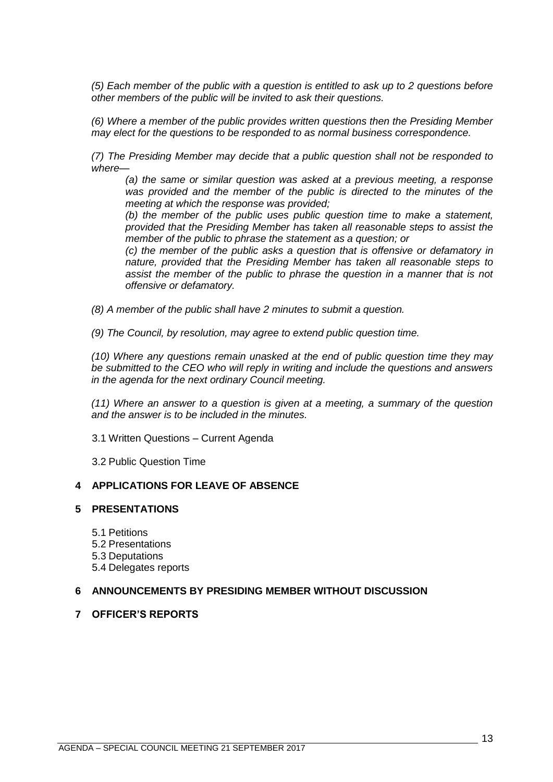*(5) Each member of the public with a question is entitled to ask up to 2 questions before other members of the public will be invited to ask their questions.* 

*(6) Where a member of the public provides written questions then the Presiding Member may elect for the questions to be responded to as normal business correspondence.* 

*(7) The Presiding Member may decide that a public question shall not be responded to where—*

*(a) the same or similar question was asked at a previous meeting, a response was provided and the member of the public is directed to the minutes of the meeting at which the response was provided;* 

*(b) the member of the public uses public question time to make a statement, provided that the Presiding Member has taken all reasonable steps to assist the member of the public to phrase the statement as a question; or* 

*(c) the member of the public asks a question that is offensive or defamatory in nature, provided that the Presiding Member has taken all reasonable steps to assist the member of the public to phrase the question in a manner that is not offensive or defamatory.* 

*(8) A member of the public shall have 2 minutes to submit a question.*

*(9) The Council, by resolution, may agree to extend public question time.* 

*(10) Where any questions remain unasked at the end of public question time they may be submitted to the CEO who will reply in writing and include the questions and answers in the agenda for the next ordinary Council meeting.* 

*(11) Where an answer to a question is given at a meeting, a summary of the question and the answer is to be included in the minutes.*

<span id="page-12-0"></span>3.1 Written Questions – Current Agenda

3.2 Public Question Time

#### <span id="page-12-2"></span><span id="page-12-1"></span>**4 APPLICATIONS FOR LEAVE OF ABSENCE**

#### <span id="page-12-4"></span><span id="page-12-3"></span>**5 PRESENTATIONS**

5.1 Petitions

- <span id="page-12-5"></span>5.2 Presentations
- <span id="page-12-6"></span>5.3 Deputations
- 5.4 Delegates reports

#### <span id="page-12-8"></span><span id="page-12-7"></span>**6 ANNOUNCEMENTS BY PRESIDING MEMBER WITHOUT DISCUSSION**

#### <span id="page-12-9"></span>**7 OFFICER'S REPORTS**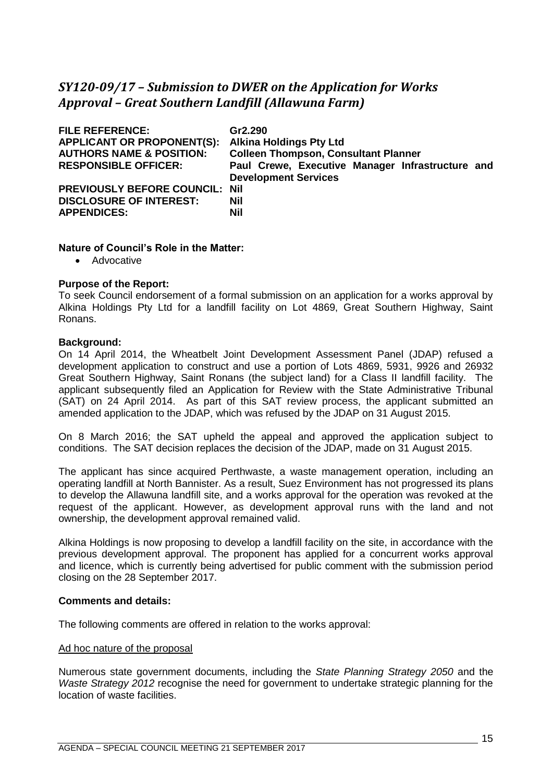### <span id="page-14-0"></span>*SY120-09/17 – Submission to DWER on the Application for Works Approval – Great Southern Landfill (Allawuna Farm)*

| Gr2.290<br><b>Alkina Holdings Pty Ltd</b>                                       |
|---------------------------------------------------------------------------------|
| <b>Colleen Thompson, Consultant Planner</b>                                     |
| Paul Crewe, Executive Manager Infrastructure and<br><b>Development Services</b> |
| <b>PREVIOUSLY BEFORE COUNCIL:</b><br>Nil                                        |
| Nil                                                                             |
| Nil                                                                             |
|                                                                                 |

#### **Nature of Council's Role in the Matter:**

• Advocative

#### **Purpose of the Report:**

To seek Council endorsement of a formal submission on an application for a works approval by Alkina Holdings Pty Ltd for a landfill facility on Lot 4869, Great Southern Highway, Saint Ronans.

#### **Background:**

On 14 April 2014, the Wheatbelt Joint Development Assessment Panel (JDAP) refused a development application to construct and use a portion of Lots 4869, 5931, 9926 and 26932 Great Southern Highway, Saint Ronans (the subject land) for a Class II landfill facility. The applicant subsequently filed an Application for Review with the State Administrative Tribunal (SAT) on 24 April 2014. As part of this SAT review process, the applicant submitted an amended application to the JDAP, which was refused by the JDAP on 31 August 2015.

On 8 March 2016; the SAT upheld the appeal and approved the application subject to conditions. The SAT decision replaces the decision of the JDAP, made on 31 August 2015.

The applicant has since acquired Perthwaste, a waste management operation, including an operating landfill at North Bannister. As a result, Suez Environment has not progressed its plans to develop the Allawuna landfill site, and a works approval for the operation was revoked at the request of the applicant. However, as development approval runs with the land and not ownership, the development approval remained valid.

Alkina Holdings is now proposing to develop a landfill facility on the site, in accordance with the previous development approval. The proponent has applied for a concurrent works approval and licence, which is currently being advertised for public comment with the submission period closing on the 28 September 2017.

#### **Comments and details:**

The following comments are offered in relation to the works approval:

#### Ad hoc nature of the proposal

Numerous state government documents, including the *State Planning Strategy 2050* and the *Waste Strategy 2012* recognise the need for government to undertake strategic planning for the location of waste facilities.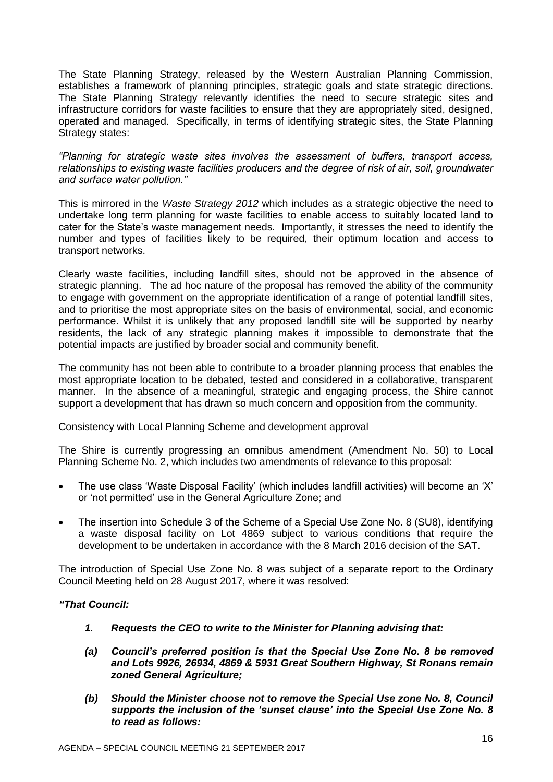The State Planning Strategy, released by the Western Australian Planning Commission, establishes a framework of planning principles, strategic goals and state strategic directions. The State Planning Strategy relevantly identifies the need to secure strategic sites and infrastructure corridors for waste facilities to ensure that they are appropriately sited, designed, operated and managed. Specifically, in terms of identifying strategic sites, the State Planning Strategy states:

*"Planning for strategic waste sites involves the assessment of buffers, transport access, relationships to existing waste facilities producers and the degree of risk of air, soil, groundwater and surface water pollution."* 

This is mirrored in the *Waste Strategy 2012* which includes as a strategic objective the need to undertake long term planning for waste facilities to enable access to suitably located land to cater for the State's waste management needs. Importantly, it stresses the need to identify the number and types of facilities likely to be required, their optimum location and access to transport networks.

Clearly waste facilities, including landfill sites, should not be approved in the absence of strategic planning. The ad hoc nature of the proposal has removed the ability of the community to engage with government on the appropriate identification of a range of potential landfill sites, and to prioritise the most appropriate sites on the basis of environmental, social, and economic performance. Whilst it is unlikely that any proposed landfill site will be supported by nearby residents, the lack of any strategic planning makes it impossible to demonstrate that the potential impacts are justified by broader social and community benefit.

The community has not been able to contribute to a broader planning process that enables the most appropriate location to be debated, tested and considered in a collaborative, transparent manner. In the absence of a meaningful, strategic and engaging process, the Shire cannot support a development that has drawn so much concern and opposition from the community.

#### Consistency with Local Planning Scheme and development approval

The Shire is currently progressing an omnibus amendment (Amendment No. 50) to Local Planning Scheme No. 2, which includes two amendments of relevance to this proposal:

- The use class 'Waste Disposal Facility' (which includes landfill activities) will become an 'X' or 'not permitted' use in the General Agriculture Zone; and
- The insertion into Schedule 3 of the Scheme of a Special Use Zone No. 8 (SU8), identifying a waste disposal facility on Lot 4869 subject to various conditions that require the development to be undertaken in accordance with the 8 March 2016 decision of the SAT.

The introduction of Special Use Zone No. 8 was subject of a separate report to the Ordinary Council Meeting held on 28 August 2017, where it was resolved:

#### *"That Council:*

- *1. Requests the CEO to write to the Minister for Planning advising that:*
- *(a) Council's preferred position is that the Special Use Zone No. 8 be removed and Lots 9926, 26934, 4869 & 5931 Great Southern Highway, St Ronans remain zoned General Agriculture;*
- *(b) Should the Minister choose not to remove the Special Use zone No. 8, Council supports the inclusion of the 'sunset clause' into the Special Use Zone No. 8 to read as follows:*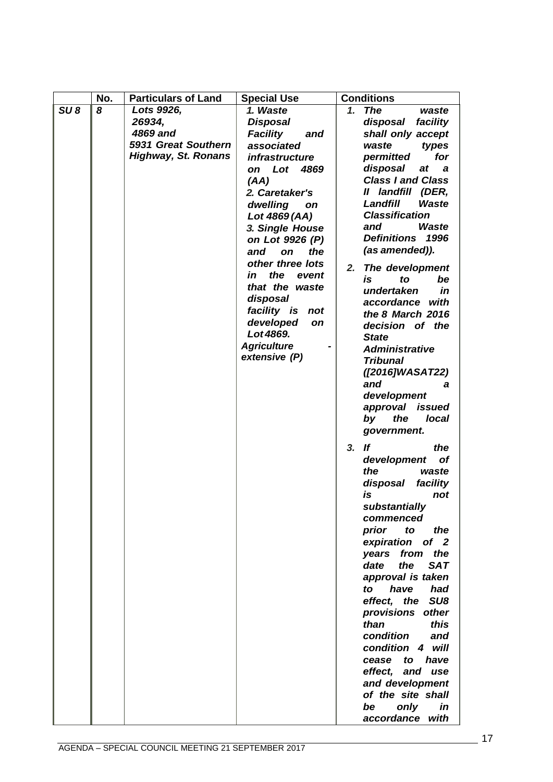|                 | No. | <b>Particulars of Land</b>                                                                   |                                                                                                                                                                                                                                                                                                                                                                                                                                      | <b>Conditions</b>                                                                                                                                                                                                                                                                                                                                                                                                                                                                                                                                         |
|-----------------|-----|----------------------------------------------------------------------------------------------|--------------------------------------------------------------------------------------------------------------------------------------------------------------------------------------------------------------------------------------------------------------------------------------------------------------------------------------------------------------------------------------------------------------------------------------|-----------------------------------------------------------------------------------------------------------------------------------------------------------------------------------------------------------------------------------------------------------------------------------------------------------------------------------------------------------------------------------------------------------------------------------------------------------------------------------------------------------------------------------------------------------|
| SU <sub>8</sub> | 8   | Lots 9926,<br>26934,<br>4869 and<br><b>5931 Great Southern</b><br><b>Highway, St. Ronans</b> | <b>Special Use</b><br>1. Waste<br><b>Disposal</b><br><b>Facility</b><br>and<br>associated<br><i>infrastructure</i><br>Lot 4869<br>on<br>(AA)<br>2. Caretaker's<br>dwelling<br>on<br>Lot 4869 (AA)<br>3. Single House<br>on Lot 9926 (P)<br>and<br>the<br>on<br>other three lots<br>the<br>in<br>event<br>that the waste<br>disposal<br>facility is not<br>developed<br><b>on</b><br>Lot 4869.<br><b>Agriculture</b><br>extensive (P) | 1. The<br>waste<br>disposal facility<br>shall only accept<br>types<br>waste<br>for<br>permitted<br>disposal<br>at<br>a a<br><b>Class I and Class</b><br>landfill (DER,<br>"<br>Landfill<br>Waste<br><b>Classification</b><br>and<br>Waste<br>Definitions 1996<br>(as amended)).<br>The development<br>2.<br>is<br>be<br>to<br>undertaken<br>in<br>accordance with<br>the 8 March 2016<br>decision of the<br><b>State</b><br><b>Administrative</b><br><b>Tribunal</b><br>([2016]WASAT22)<br>and<br>а<br>development                                        |
|                 |     |                                                                                              |                                                                                                                                                                                                                                                                                                                                                                                                                                      | approval issued<br>the<br>by<br>local<br>government.<br>$3.$ If<br>the<br>development<br>οf<br>the<br>waste<br>disposal<br>facility<br>is<br>not<br>substantially<br>commenced<br>prior<br>to<br>the<br>expiration<br>of <sub>2</sub><br>the<br>years from<br><b>SAT</b><br>date<br>the<br>approval is taken<br>have<br>had<br>to<br>effect, the SU8<br>provisions other<br>than<br>this<br>condition<br>and<br>condition 4 will<br>have<br>cease<br>to<br>effect, and use<br>and development<br>of the site shall<br>only<br>in<br>be<br>accordance with |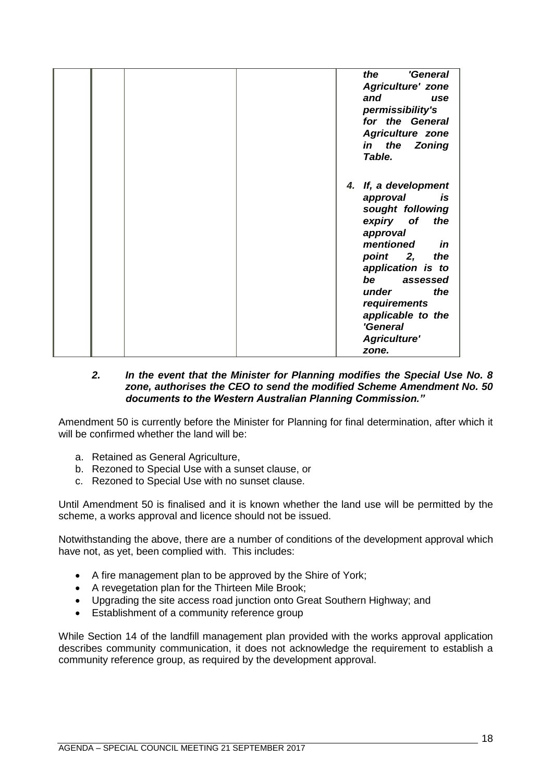|  |  | the<br>'General<br><b>Agriculture' zone</b><br>and<br>use<br>permissibility's<br>for the General<br><b>Agriculture zone</b><br>in the Zoning<br>Table.                                                                                                                |
|--|--|-----------------------------------------------------------------------------------------------------------------------------------------------------------------------------------------------------------------------------------------------------------------------|
|  |  | 4. If, a development<br>approval<br>is<br>sought following<br>expiry of<br>the<br>approval<br>mentioned<br>in<br>point 2,<br>the<br>application is to<br>be assessed<br>the<br>under<br>requirements<br>applicable to the<br>'General<br><b>Agriculture'</b><br>zone. |

#### *2. In the event that the Minister for Planning modifies the Special Use No. 8 zone, authorises the CEO to send the modified Scheme Amendment No. 50 documents to the Western Australian Planning Commission."*

Amendment 50 is currently before the Minister for Planning for final determination, after which it will be confirmed whether the land will be:

- a. Retained as General Agriculture,
- b. Rezoned to Special Use with a sunset clause, or
- c. Rezoned to Special Use with no sunset clause.

Until Amendment 50 is finalised and it is known whether the land use will be permitted by the scheme, a works approval and licence should not be issued.

Notwithstanding the above, there are a number of conditions of the development approval which have not, as yet, been complied with. This includes:

- A fire management plan to be approved by the Shire of York;
- A revegetation plan for the Thirteen Mile Brook;
- Upgrading the site access road junction onto Great Southern Highway; and
- Establishment of a community reference group

While Section 14 of the landfill management plan provided with the works approval application describes community communication, it does not acknowledge the requirement to establish a community reference group, as required by the development approval.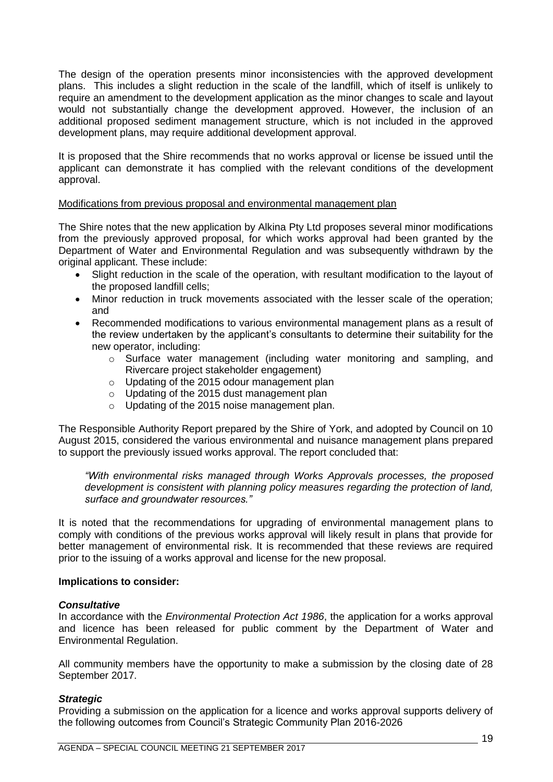The design of the operation presents minor inconsistencies with the approved development plans. This includes a slight reduction in the scale of the landfill, which of itself is unlikely to require an amendment to the development application as the minor changes to scale and layout would not substantially change the development approved. However, the inclusion of an additional proposed sediment management structure, which is not included in the approved development plans, may require additional development approval.

It is proposed that the Shire recommends that no works approval or license be issued until the applicant can demonstrate it has complied with the relevant conditions of the development approval.

#### Modifications from previous proposal and environmental management plan

The Shire notes that the new application by Alkina Pty Ltd proposes several minor modifications from the previously approved proposal, for which works approval had been granted by the Department of Water and Environmental Regulation and was subsequently withdrawn by the original applicant. These include:

- Slight reduction in the scale of the operation, with resultant modification to the layout of the proposed landfill cells;
- Minor reduction in truck movements associated with the lesser scale of the operation; and
- Recommended modifications to various environmental management plans as a result of the review undertaken by the applicant's consultants to determine their suitability for the new operator, including:
	- $\circ$  Surface water management (including water monitoring and sampling, and Rivercare project stakeholder engagement)
	- o Updating of the 2015 odour management plan
	- o Updating of the 2015 dust management plan
	- o Updating of the 2015 noise management plan.

The Responsible Authority Report prepared by the Shire of York, and adopted by Council on 10 August 2015, considered the various environmental and nuisance management plans prepared to support the previously issued works approval. The report concluded that:

*"With environmental risks managed through Works Approvals processes, the proposed development is consistent with planning policy measures regarding the protection of land, surface and groundwater resources."*

It is noted that the recommendations for upgrading of environmental management plans to comply with conditions of the previous works approval will likely result in plans that provide for better management of environmental risk. It is recommended that these reviews are required prior to the issuing of a works approval and license for the new proposal.

#### **Implications to consider:**

#### *Consultative*

In accordance with the *Environmental Protection Act 1986*, the application for a works approval and licence has been released for public comment by the Department of Water and Environmental Regulation.

All community members have the opportunity to make a submission by the closing date of 28 September 2017.

#### *Strategic*

Providing a submission on the application for a licence and works approval supports delivery of the following outcomes from Council's Strategic Community Plan 2016-2026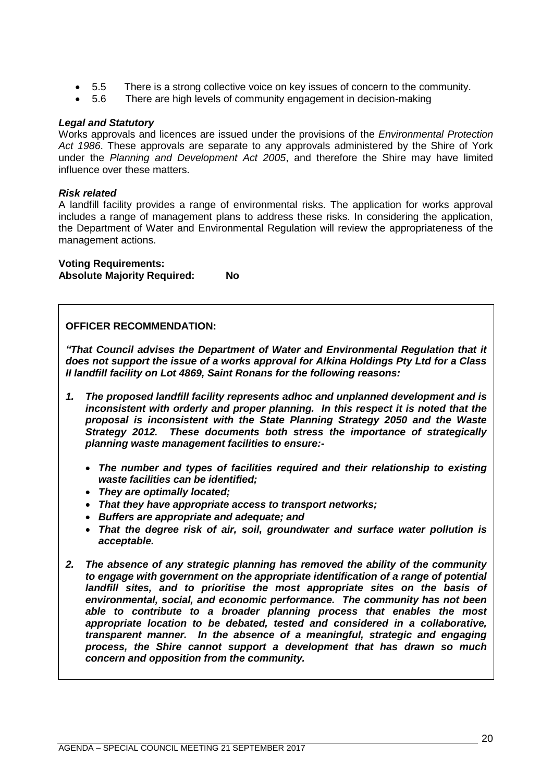- 5.5 There is a strong collective voice on key issues of concern to the community.
- 5.6 There are high levels of community engagement in decision-making

#### *Legal and Statutory*

Works approvals and licences are issued under the provisions of the *Environmental Protection Act 1986*. These approvals are separate to any approvals administered by the Shire of York under the *Planning and Development Act 2005*, and therefore the Shire may have limited influence over these matters.

#### *Risk related*

A landfill facility provides a range of environmental risks. The application for works approval includes a range of management plans to address these risks. In considering the application, the Department of Water and Environmental Regulation will review the appropriateness of the management actions.

**Voting Requirements: Absolute Majority Required: No**

#### **OFFICER RECOMMENDATION:**

*"That Council advises the Department of Water and Environmental Regulation that it does not support the issue of a works approval for Alkina Holdings Pty Ltd for a Class II landfill facility on Lot 4869, Saint Ronans for the following reasons:*

- *1. The proposed landfill facility represents adhoc and unplanned development and is inconsistent with orderly and proper planning. In this respect it is noted that the proposal is inconsistent with the State Planning Strategy 2050 and the Waste Strategy 2012. These documents both stress the importance of strategically planning waste management facilities to ensure:-*
	- *The number and types of facilities required and their relationship to existing waste facilities can be identified;*
	- *They are optimally located;*
	- *That they have appropriate access to transport networks;*
	- *Buffers are appropriate and adequate; and*
	- *That the degree risk of air, soil, groundwater and surface water pollution is acceptable.*
- *2. The absence of any strategic planning has removed the ability of the community to engage with government on the appropriate identification of a range of potential landfill sites, and to prioritise the most appropriate sites on the basis of environmental, social, and economic performance. The community has not been able to contribute to a broader planning process that enables the most appropriate location to be debated, tested and considered in a collaborative, transparent manner. In the absence of a meaningful, strategic and engaging process, the Shire cannot support a development that has drawn so much concern and opposition from the community.*